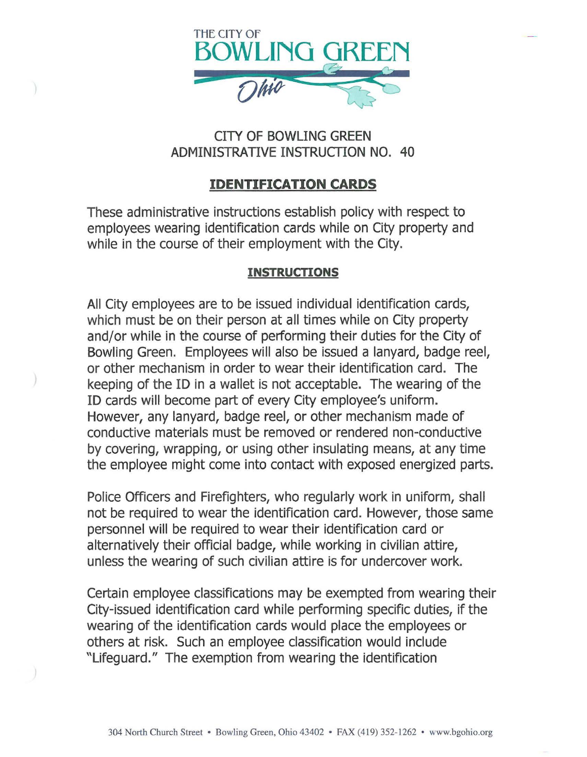

## CITY OF BOWLING GREEN ADMINISTRATIVE INSTRUCTION NO. 40

## **IDENTIFICATION CARDS**

These administrative instructions establish policy with respect to employees wearing identification cards while on City property and while in the course of their employment with the City.

## **INSTRUCTIONS**

All City employees are to be issued individual identification cards, which must be on their person at all times while on City property and/or while in the course of performing their duties for the City of Bowling Green. Employees will also be issued a lanyard, badge reel, or other mechanism in order to wear their identification card. The keeping of the ID in a wallet is not acceptable. The wearing of the ID cards will become part of every City employee's uniform. However, any lanyard, badge reel, or other mechanism made of conductive materials must be removed or rendered non-conductive by covering, wrapping, or using other insulating means, at any time the employee might come into contact with exposed energized parts.

Police Officers and Firefighters, who regularly work in uniform, shall not be required to wear the identification card. However, those same personnel will be required to wear their identification card or alternatively their official badge, while working in civilian attire, unless the wearing of such civilian attire is for undercover work.

Certain employee classifications may be exempted from wearing their City-issued identification card while performing specific duties, if the wearing of the identification cards would place the employees or others at risk. Such an employee classification would include "Lifeguard." The exemption from wearing the identification